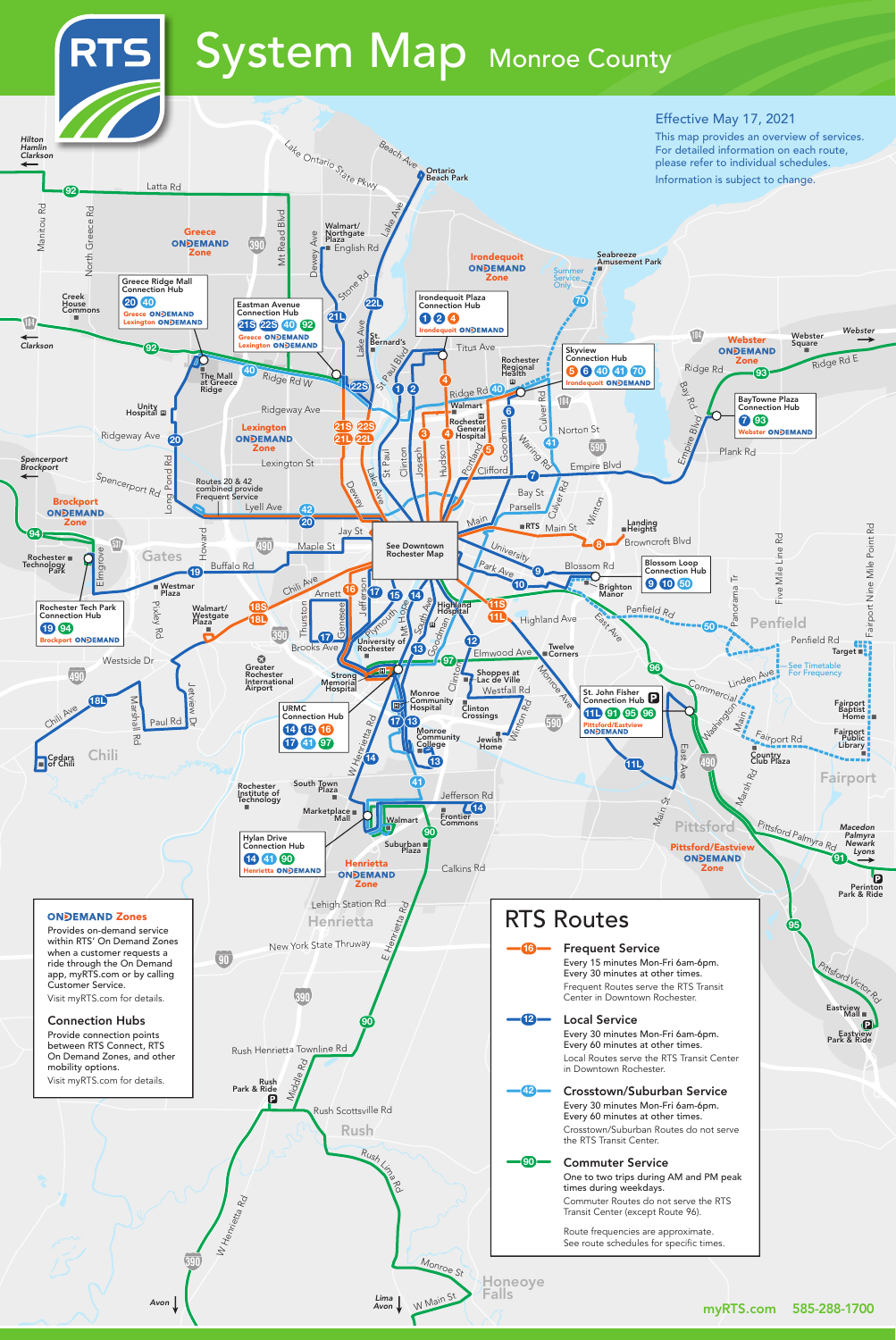# RTS System Map Monroe County